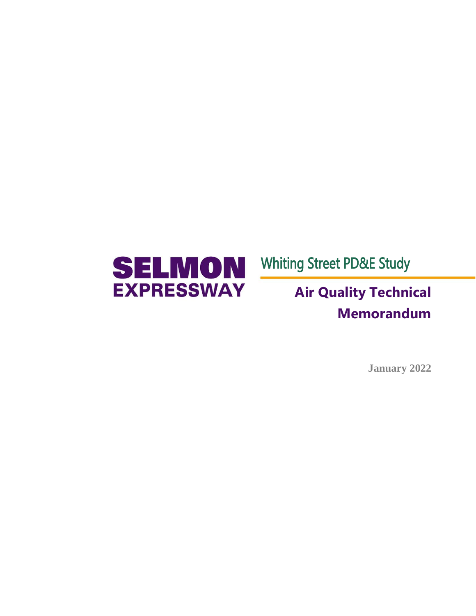

Whiting Street PD&E Study

# **Air Quality Technical Memorandum**

**January 2022**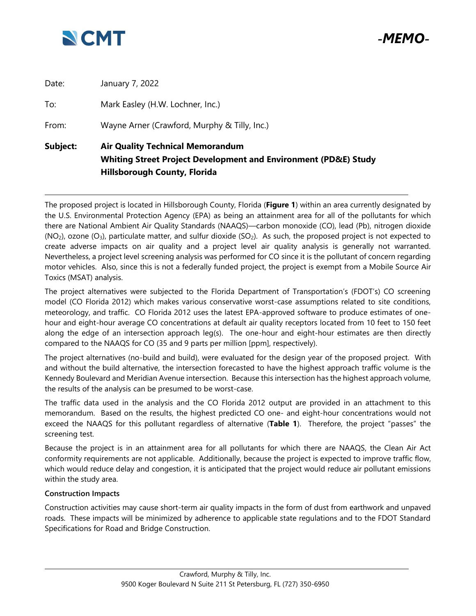

*-MEMO-*

|          | <b>Hillsborough County, Florida</b>                                                                                   |  |  |  |  |
|----------|-----------------------------------------------------------------------------------------------------------------------|--|--|--|--|
| Subject: | <b>Air Quality Technical Memorandum</b><br><b>Whiting Street Project Development and Environment (PD&amp;E) Study</b> |  |  |  |  |
| From:    | Wayne Arner (Crawford, Murphy & Tilly, Inc.)                                                                          |  |  |  |  |
| To:      | Mark Easley (H.W. Lochner, Inc.)                                                                                      |  |  |  |  |
| Date:    | January 7, 2022                                                                                                       |  |  |  |  |

The proposed project is located in Hillsborough County, Florida (**Figure 1**) within an area currently designated by the U.S. Environmental Protection Agency (EPA) as being an attainment area for all of the pollutants for which there are National Ambient Air Quality Standards (NAAQS)—carbon monoxide (CO), lead (Pb), nitrogen dioxide  $(NO<sub>2</sub>)$ , ozone  $(O<sub>3</sub>)$ , particulate matter, and sulfur dioxide (SO<sub>2</sub>). As such, the proposed project is not expected to create adverse impacts on air quality and a project level air quality analysis is generally not warranted. Nevertheless, a project level screening analysis was performed for CO since it is the pollutant of concern regarding motor vehicles. Also, since this is not a federally funded project, the project is exempt from a Mobile Source Air Toxics (MSAT) analysis.

The project alternatives were subjected to the Florida Department of Transportation's (FDOT's) CO screening model (CO Florida 2012) which makes various conservative worst-case assumptions related to site conditions, meteorology, and traffic. CO Florida 2012 uses the latest EPA-approved software to produce estimates of onehour and eight-hour average CO concentrations at default air quality receptors located from 10 feet to 150 feet along the edge of an intersection approach leg(s). The one-hour and eight-hour estimates are then directly compared to the NAAQS for CO (35 and 9 parts per million [ppm], respectively).

The project alternatives (no-build and build), were evaluated for the design year of the proposed project. With and without the build alternative, the intersection forecasted to have the highest approach traffic volume is the Kennedy Boulevard and Meridian Avenue intersection. Because this intersection has the highest approach volume, the results of the analysis can be presumed to be worst-case.

The traffic data used in the analysis and the CO Florida 2012 output are provided in an attachment to this memorandum. Based on the results, the highest predicted CO one- and eight-hour concentrations would not exceed the NAAQS for this pollutant regardless of alternative (**Table 1**). Therefore, the project "passes" the screening test.

Because the project is in an attainment area for all pollutants for which there are NAAQS, the Clean Air Act conformity requirements are not applicable. Additionally, because the project is expected to improve traffic flow, which would reduce delay and congestion, it is anticipated that the project would reduce air pollutant emissions within the study area.

#### **Construction Impacts**

Construction activities may cause short-term air quality impacts in the form of dust from earthwork and unpaved roads. These impacts will be minimized by adherence to applicable state regulations and to the FDOT Standard Specifications for Road and Bridge Construction.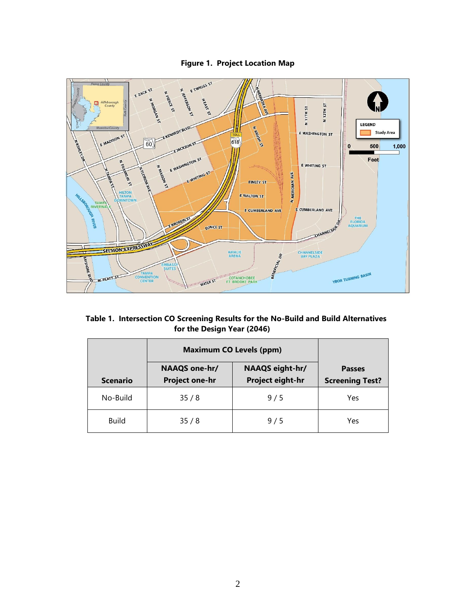## **Figure 1. Project Location Map**



### **Table 1. Intersection CO Screening Results for the No-Build and Build Alternatives for the Design Year (2046)**

|                 | <b>Maximum CO Levels (ppm)</b>         |                                     |                                         |
|-----------------|----------------------------------------|-------------------------------------|-----------------------------------------|
| <b>Scenario</b> | NAAQS one-hr/<br><b>Project one-hr</b> | NAAQS eight-hr/<br>Project eight-hr | <b>Passes</b><br><b>Screening Test?</b> |
| No-Build        | 35/8                                   | 9/5                                 | Yes                                     |
| <b>Build</b>    | 35/8                                   | 9/5                                 | Yes                                     |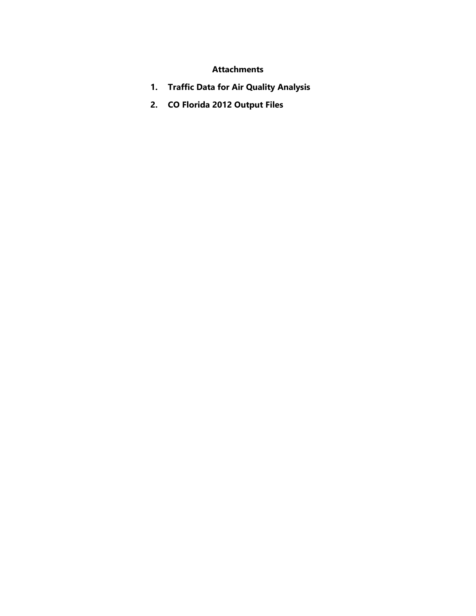## **Attachments**

- **1. Traffic Data for Air Quality Analysis**
- **2. CO Florida 2012 Output Files**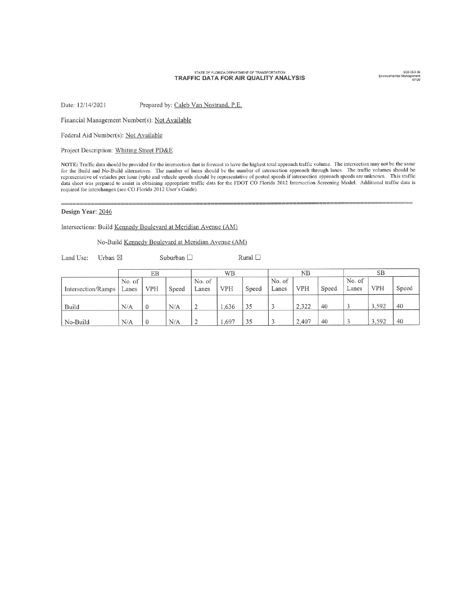#### STATE OF FLORIDA DEPARTMENT OF TRANSPORTATION TRAFFIC DATA FOR AIR QUALITY ANALYSIS

650-050-36<br>Environmental Management<br>07/20

Date: 12/14/2021 Prepared by: Caleb Van Nostrand, P.E.

Financial Management Number(s): Not Available

Federal Aid Number(s): Not Available

Project Description: Whiting Street PD&E

NOTE: Traffic data should be provided for the intersection that is forecast to have the highest total approach traffic volume. The intersection may not be the same for the Build and No-Build alternatives. The number of lanes should be the number of intersection approach through lanes. The traffic volumes should be representative of vehicles per hour (vph) and vehicle speeds should be representative of posted speeds if intersection approach speeds are unknown. This traffic data sheet was prepared to assist in obtaining appropriate traffic data for the FDOT CO Florida 2012 Intersection Screening Model. Additional traffic data is required for interchanges (see CO Florida 2012 User's Guide).

#### Design Year: 2046

Intersections: Build Kennedy Boulevard at Meridian Avenue (AM)

No-Build Kennedy Boulevard at Meridian Avenue (AM)

Land Use: Urban ⊠ Suburban $\Box$  Rural  $\Box$ 

|                    |                 | EB           |       |                 | WΒ         |       |                 | NΒ         |       |                 | SB         |       |
|--------------------|-----------------|--------------|-------|-----------------|------------|-------|-----------------|------------|-------|-----------------|------------|-------|
| Intersection/Ramps | No. of<br>Lanes | <b>VPH</b>   | Speed | No. of<br>Lanes | <b>VPH</b> | Speed | No. of<br>Lanes | <b>VPH</b> | Speed | No. of<br>Lanes | <b>VPH</b> | Speed |
| Build              | N/A             | $\mathbf{0}$ | N/A   | $\bigcirc$<br>∸ | 1.636      | 35    |                 | 2,322      | 40    |                 | 3,592      | 40    |
| No-Build           | N/A             |              | N/A   | ↑<br>∸          | .,697      | 35    |                 | 2,407      | 40    |                 | 3,592      | 40    |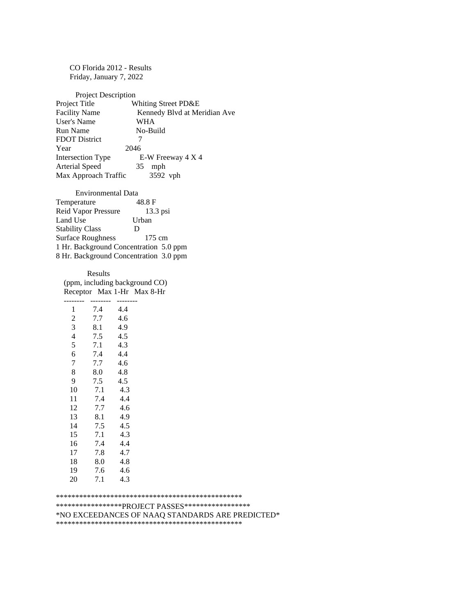CO Florida 2012 - Results Friday, January 7, 2022

Project Description Project Title Whiting Street PD&E **Facility Name** Kennedy Blvd at Meridian Ave **User's Name WHA** Run Name No-Build **FDOT District**  $\tau$ Year 2046 Intersection Type E-W Freeway 4 X 4 Arterial Speed 35 mph Max Approach Traffic 3592 vph

Environmental Data Temperature 48.8 F Reid Vapor Pressure  $13.3$  psi Land Use Urban **Stability Class** D **Surface Roughness** 175 cm 1 Hr. Background Concentration 5.0 ppm 8 Hr. Background Concentration 3.0 ppm

Results (ppm, including background CO) Receptor Max 1-Hr Max 8-Hr

| 1              | 7.4 | 4.4 |
|----------------|-----|-----|
| $\overline{c}$ | 7.7 | 4.6 |
| 3              | 8.1 | 4.9 |
| 4              | 7.5 | 4.5 |
| 5              | 7.1 | 4.3 |
| 6              | 7.4 | 4.4 |
| $\overline{7}$ | 7.7 | 4.6 |
| 8              | 8.0 | 4.8 |
| 9              | 7.5 | 4.5 |
| 10             | 7.1 | 4.3 |
| 11             | 7.4 | 4.4 |
| 12             | 7.7 | 4.6 |
| 13             | 8.1 | 4.9 |
| 14             | 7.5 | 4.5 |
| 15             | 7.1 | 4.3 |
| 16             | 7.4 | 4.4 |
| 17             | 7.8 | 4.7 |
| 18             | 8.0 | 4.8 |
| 19             | 7.6 | 4.6 |
| 20             | 7.1 | 4.3 |

\*\*\*\*\*\*\*\*\*\*\*\*\*\*\*\*\*\*PROJECT PASSES\*\*\*\*\*\*\*\*\*\*\*\*\*\*\*\*\*\*

\*NO EXCEEDANCES OF NAAQ STANDARDS ARE PREDICTED\*